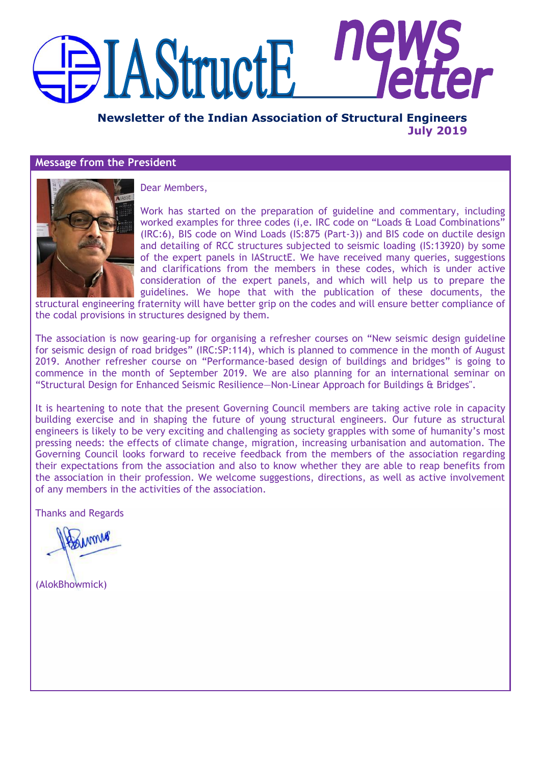# IIE **AStructE**

**Newsletter of the Indian Association of Structural Engineers July 2019**

## **Message from the President**



Dear Members,

Work has started on the preparation of guideline and commentary, including worked examples for three codes (i,e. IRC code on "Loads & Load Combinations" (IRC:6), BIS code on Wind Loads (IS:875 (Part-3)) and BIS code on ductile design and detailing of RCC structures subjected to seismic loading (IS:13920) by some of the expert panels in IAStructE. We have received many queries, suggestions and clarifications from the members in these codes, which is under active consideration of the expert panels, and which will help us to prepare the guidelines. We hope that with the publication of these documents, the

structural engineering fraternity will have better grip on the codes and will ensure better compliance of the codal provisions in structures designed by them.

The association is now gearing-up for organising a refresher courses on "New seismic design guideline for seismic design of road bridges" (IRC:SP:114), which is planned to commence in the month of August 2019. Another refresher course on "Performance-based design of buildings and bridges" is going to commence in the month of September 2019. We are also planning for an international seminar on ―Structural Design for Enhanced Seismic Resilience—Non-Linear Approach for Buildings & Bridges".

It is heartening to note that the present Governing Council members are taking active role in capacity building exercise and in shaping the future of young structural engineers. Our future as structural engineers is likely to be very exciting and challenging as society grapples with some of humanity's most pressing needs: the effects of climate change, migration, increasing urbanisation and automation. The Governing Council looks forward to receive feedback from the members of the association regarding their expectations from the association and also to know whether they are able to reap benefits from the association in their profession. We welcome suggestions, directions, as well as active involvement of any members in the activities of the association.

Thanks and Regards

(AlokBhowmick)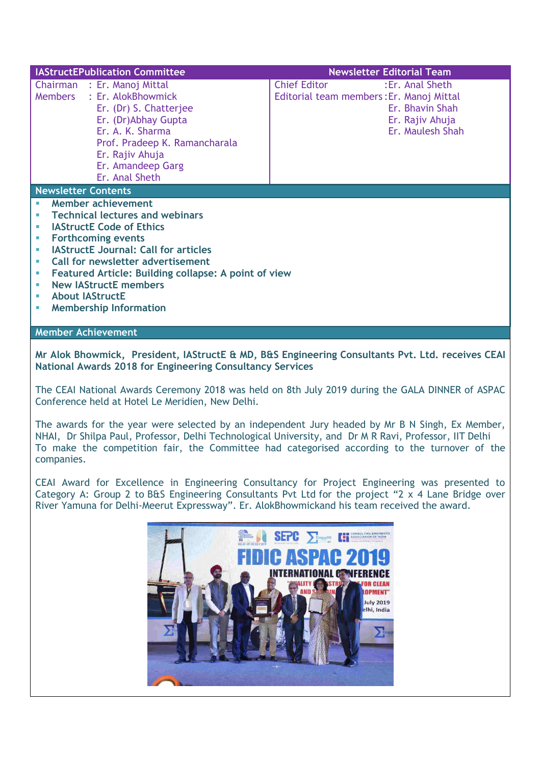| <b>IAStructEPublication Committee</b>                                                                                                                                                                                                                                                                                                                                                         | <b>Newsletter Editorial Team</b>                                                                                                              |
|-----------------------------------------------------------------------------------------------------------------------------------------------------------------------------------------------------------------------------------------------------------------------------------------------------------------------------------------------------------------------------------------------|-----------------------------------------------------------------------------------------------------------------------------------------------|
| Chairman : Er. Manoj Mittal<br>: Er. AlokBhowmick<br>Members<br>Er. (Dr) S. Chatterjee<br>Er. (Dr)Abhay Gupta<br>Er. A. K. Sharma<br>Prof. Pradeep K. Ramancharala<br>Er. Rajiv Ahuja<br>Er. Amandeep Garg<br>Er. Anal Sheth                                                                                                                                                                  | <b>Chief Editor</b><br>: Er. Anal Sheth<br>Editorial team members: Er. Manoj Mittal<br>Er. Bhavin Shah<br>Er. Rajiv Ahuja<br>Er. Maulesh Shah |
| <b>Newsletter Contents</b>                                                                                                                                                                                                                                                                                                                                                                    |                                                                                                                                               |
| <b>Member achievement</b><br><b>Technical lectures and webinars</b><br><b>IAStructE Code of Ethics</b><br><b>Forthcoming events</b><br><b>IAStructE Journal: Call for articles</b><br><b>Call for newsletter advertisement</b><br><b>Featured Article: Building collapse: A point of view</b><br>×<br><b>New IAStructE members</b><br><b>About IAStructE</b><br><b>Membership Information</b> |                                                                                                                                               |

**Mr Alok Bhowmick, President, IAStructE & MD, B&S Engineering Consultants Pvt. Ltd. receives CEAI National Awards 2018 for Engineering Consultancy Services**

**Member Achievement**

The CEAI National Awards Ceremony 2018 was held on 8th July 2019 during the GALA DINNER of ASPAC Conference held at Hotel Le Meridien, New Delhi.

The awards for the year were selected by an independent Jury headed by Mr B N Singh, Ex Member, NHAI, Dr Shilpa Paul, Professor, Delhi Technological University, and Dr M R Ravi, Professor, IIT Delhi To make the competition fair, the Committee had categorised according to the turnover of the companies.

CEAI Award for Excellence in Engineering Consultancy for Project Engineering was presented to Category A: Group 2 to B&S Engineering Consultants Pvt Ltd for the project "2 x 4 Lane Bridge over River Yamuna for Delhi-Meerut Expressway". Er. AlokBhowmickand his team received the award.

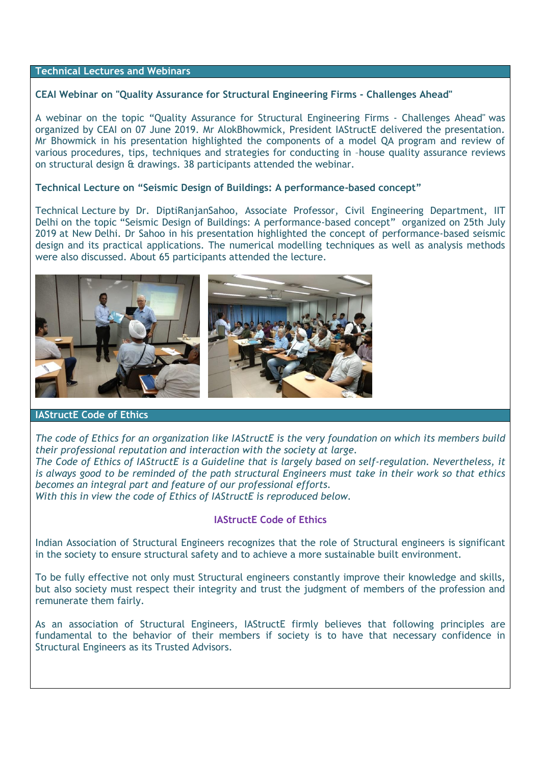## **Technical Lectures and Webinars**

## **CEAI Webinar on "Quality Assurance for Structural Engineering Firms - Challenges Ahead"**

A webinar on the topic "Quality Assurance for Structural Engineering Firms - Challenges Ahead" was organized by CEAI on 07 June 2019. Mr AlokBhowmick, President IAStructE delivered the presentation. Mr Bhowmick in his presentation highlighted the components of a model QA program and review of various procedures, tips, techniques and strategies for conducting in –house quality assurance reviews on structural design & drawings. 38 participants attended the webinar.

## **Technical Lecture on "Seismic Design of Buildings: A performance-based concept"**

Technical Lecture by Dr. DiptiRanjanSahoo, Associate Professor, Civil Engineering Department, IIT Delhi on the topic "Seismic Design of Buildings: A performance-based concept" organized on 25th July 2019 at New Delhi. Dr Sahoo in his presentation highlighted the concept of performance-based seismic design and its practical applications. The numerical modelling techniques as well as analysis methods were also discussed. About 65 participants attended the lecture.



## **IAStructE Code of Ethics**

*The code of Ethics for an organization like IAStructE is the very foundation on which its members build their professional reputation and interaction with the society at large. The Code of Ethics of IAStructE is a Guideline that is largely based on self-regulation. Nevertheless, it is always good to be reminded of the path structural Engineers must take in their work so that ethics becomes an integral part and feature of our professional efforts. With this in view the code of Ethics of IAStructE is reproduced below.*

## **IAStructE Code of Ethics**

Indian Association of Structural Engineers recognizes that the role of Structural engineers is significant in the society to ensure structural safety and to achieve a more sustainable built environment.

To be fully effective not only must Structural engineers constantly improve their knowledge and skills, but also society must respect their integrity and trust the judgment of members of the profession and remunerate them fairly.

As an association of Structural Engineers, IAStructE firmly believes that following principles are fundamental to the behavior of their members if society is to have that necessary confidence in Structural Engineers as its Trusted Advisors.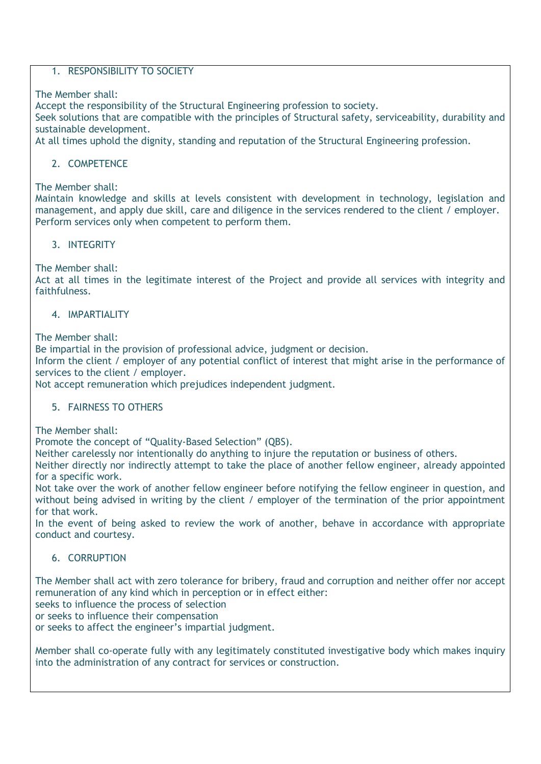# 1. RESPONSIBILITY TO SOCIETY

The Member shall:

Accept the responsibility of the Structural Engineering profession to society.

Seek solutions that are compatible with the principles of Structural safety, serviceability, durability and sustainable development.

At all times uphold the dignity, standing and reputation of the Structural Engineering profession.

# 2. COMPETENCE

The Member shall:

Maintain knowledge and skills at levels consistent with development in technology, legislation and management, and apply due skill, care and diligence in the services rendered to the client / employer. Perform services only when competent to perform them.

# 3. INTEGRITY

The Member shall:

Act at all times in the legitimate interest of the Project and provide all services with integrity and faithfulness.

# **4. IMPARTIALITY**

The Member shall:

Be impartial in the provision of professional advice, judgment or decision.

Inform the client / employer of any potential conflict of interest that might arise in the performance of services to the client / employer.

Not accept remuneration which prejudices independent judgment.

# 5. FAIRNESS TO OTHERS

The Member shall:

Promote the concept of "Quality-Based Selection" (QBS).

Neither carelessly nor intentionally do anything to injure the reputation or business of others.

Neither directly nor indirectly attempt to take the place of another fellow engineer, already appointed for a specific work.

Not take over the work of another fellow engineer before notifying the fellow engineer in question, and without being advised in writing by the client / employer of the termination of the prior appointment for that work.

In the event of being asked to review the work of another, behave in accordance with appropriate conduct and courtesy.

# 6. CORRUPTION

The Member shall act with zero tolerance for bribery, fraud and corruption and neither offer nor accept remuneration of any kind which in perception or in effect either:

seeks to influence the process of selection

or seeks to influence their compensation

or seeks to affect the engineer's impartial judgment.

Member shall co-operate fully with any legitimately constituted investigative body which makes inquiry into the administration of any contract for services or construction.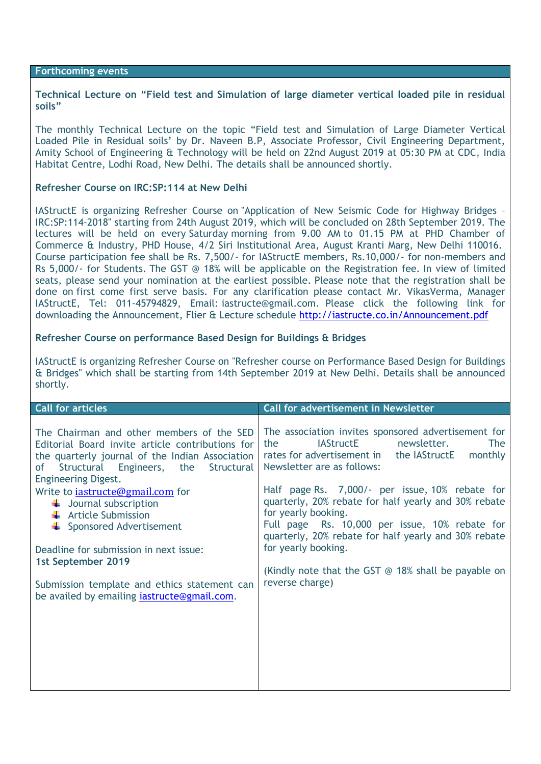#### **Forthcoming events**

**Technical Lecture on "Field test and Simulation of large diameter vertical loaded pile in residual soils"**

The monthly Technical Lecture on the topic "Field test and Simulation of Large Diameter Vertical Loaded Pile in Residual soils' by Dr. Naveen B.P, Associate Professor, Civil Engineering Department, Amity School of Engineering & Technology will be held on 22nd August 2019 at 05:30 PM at CDC, India Habitat Centre, Lodhi Road, New Delhi. The details shall be announced shortly.

## **Refresher Course on IRC:SP:114 at New Delhi**

IAStructE is organizing Refresher Course on "Application of New Seismic Code for Highway Bridges – IRC:SP:114-2018" starting from 24th August 2019, which will be concluded on 28th September 2019. The lectures will be held on every Saturday morning from 9.00 AM to 01.15 PM at PHD Chamber of Commerce & Industry, PHD House, 4/2 Siri Institutional Area, August Kranti Marg, New Delhi 110016. Course participation fee shall be Rs. 7,500/- for IAStructE members, Rs.10,000/- for non-members and Rs 5,000/- for Students. The GST @ 18% will be applicable on the Registration fee. In view of limited seats, please send your nomination at the earliest possible. Please note that the registration shall be done on first come first serve basis. For any clarification please contact Mr. VikasVerma, Manager IAStructE, Tel: 011-45794829, Email: [iastructe@gmail.com.](mailto:iastructe@gmail.com) Please click the following link for downloading the Announcement, Flier & Lecture schedule<http://iastructe.co.in/Announcement.pdf>

## **Refresher Course on performance Based Design for Buildings & Bridges**

IAStructE is organizing Refresher Course on "Refresher course on Performance Based Design for Buildings & Bridges" which shall be starting from 14th September 2019 at New Delhi. Details shall be announced shortly.

| <b>Call for articles</b>                            | <b>Call for advertisement in Newsletter</b>               |
|-----------------------------------------------------|-----------------------------------------------------------|
| The Chairman and other members of the SED           | The association invites sponsored advertisement for       |
| Editorial Board invite article contributions for    | <b>IAStructE</b>                                          |
| the quarterly journal of the Indian Association     | newsletter.                                               |
| Structural Engineers,                               | the                                                       |
| the                                                 | The                                                       |
| Structural                                          | monthly                                                   |
| 0f                                                  | rates for advertisement in the IAStructE                  |
| <b>Engineering Digest.</b>                          | Newsletter are as follows:                                |
| Write to <i>iastructe@gmail.com</i> for             | Half page Rs. 7,000/- per issue, 10% rebate for           |
| $\downarrow$ Journal subscription                   | quarterly, 20% rebate for half yearly and 30% rebate      |
| $\frac{1}{\sqrt{2}}$ Article Submission             | for yearly booking.                                       |
| $\leftarrow$ Sponsored Advertisement                | Full page Rs. 10,000 per issue, 10% rebate for            |
| Deadline for submission in next issue:              | quarterly, 20% rebate for half yearly and 30% rebate      |
| 1st September 2019                                  | for yearly booking.                                       |
| Submission template and ethics statement can        | (Kindly note that the GST $\odot$ 18% shall be payable on |
| be availed by emailing <i>iastructe</i> @gmail.com. | reverse charge)                                           |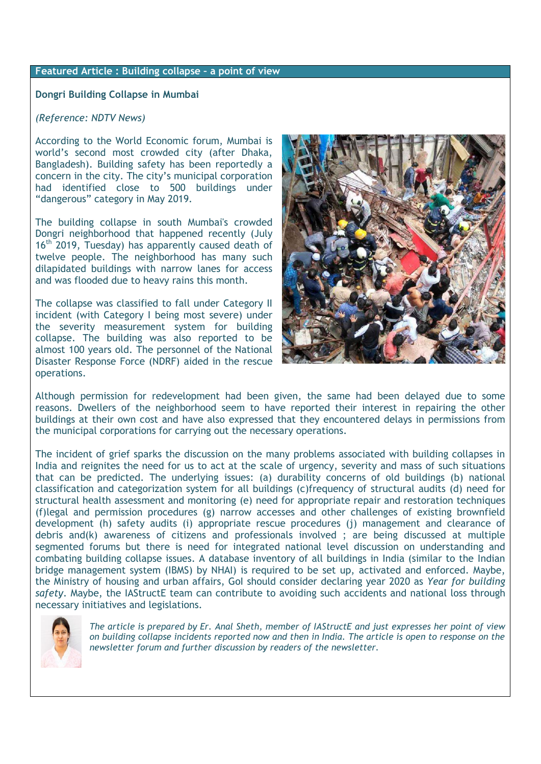# **Featured Article : Building collapse – a point of view**

**Dongri Building Collapse in Mumbai**

## *(Reference: NDTV News)*

According to the World Economic forum, Mumbai is world's second most crowded city (after Dhaka, Bangladesh). Building safety has been reportedly a concern in the city. The city's municipal corporation had identified close to 500 buildings under "dangerous" category in May 2019.

The building collapse in south Mumbai's crowded Dongri neighborhood that happened recently (July  $16<sup>th</sup>$  2019, Tuesday) has apparently caused death of twelve people. The neighborhood has many such dilapidated buildings with narrow lanes for access and was flooded due to heavy rains this month.

The collapse was classified to fall under Category II incident (with Category I being most severe) under the severity measurement system for building collapse. The building was also reported to be almost 100 years old. The personnel of the National Disaster Response Force (NDRF) aided in the rescue operations.



Although permission for redevelopment had been given, the same had been delayed due to some reasons. Dwellers of the neighborhood seem to have reported their interest in repairing the other buildings at their own cost and have also expressed that they encountered delays in permissions from the municipal corporations for carrying out the necessary operations.

The incident of grief sparks the discussion on the many problems associated with building collapses in India and reignites the need for us to act at the scale of urgency, severity and mass of such situations that can be predicted. The underlying issues: (a) durability concerns of old buildings (b) national classification and categorization system for all buildings (c)frequency of structural audits (d) need for structural health assessment and monitoring (e) need for appropriate repair and restoration techniques (f)legal and permission procedures (g) narrow accesses and other challenges of existing brownfield development (h) safety audits (i) appropriate rescue procedures (j) management and clearance of debris and(k) awareness of citizens and professionals involved ; are being discussed at multiple segmented forums but there is need for integrated national level discussion on understanding and combating building collapse issues. A database inventory of all buildings in India (similar to the Indian bridge management system (IBMS) by NHAI) is required to be set up, activated and enforced. Maybe, the Ministry of housing and urban affairs, GoI should consider declaring year 2020 as *Year for building safety*. Maybe, the IAStructE team can contribute to avoiding such accidents and national loss through necessary initiatives and legislations.



*The article is prepared by Er. Anal Sheth, member of IAStructE and just expresses her point of view on building collapse incidents reported now and then in India. The article is open to response on the newsletter forum and further discussion by readers of the newsletter.*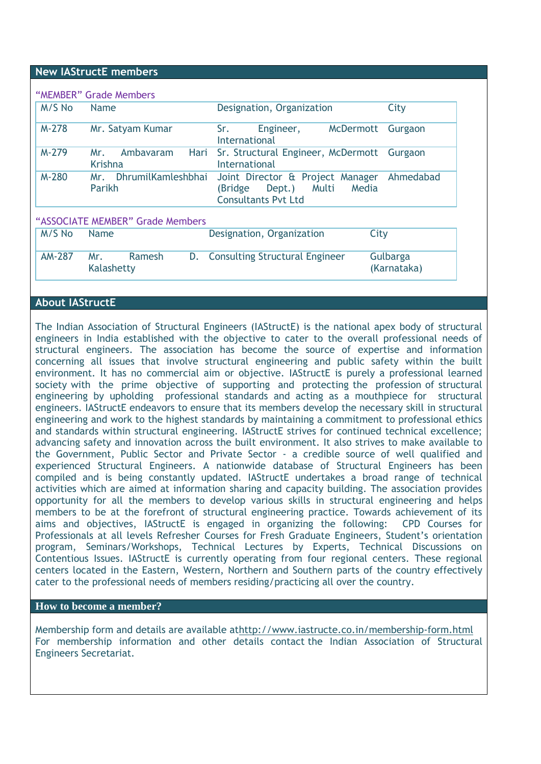## **New IAStructE members**

| M/S No        | <b>Name</b>                         | Designation, Organization                                                                             | City                    |
|---------------|-------------------------------------|-------------------------------------------------------------------------------------------------------|-------------------------|
| $M-278$       | Mr. Satyam Kumar                    | Sr.<br><b>McDermott</b><br>Engineer,<br>International                                                 | Gurgaon                 |
| M-279         | Ambavaram<br>Mr.<br>Krishna         | Sr. Structural Engineer, McDermott<br>Hari<br>International                                           | Gurgaon                 |
| M-280         | DhrumilKamleshbhai<br>Mr.<br>Parikh | Joint Director & Project Manager<br>Multi<br>Media<br>(Bridge<br>Dept.)<br><b>Consultants Pvt Ltd</b> | Ahmedabad               |
|               | "ASSOCIATE MEMBER" Grade Members    |                                                                                                       |                         |
| M/S No        | <b>Name</b>                         | Designation, Organization<br>City                                                                     |                         |
| <b>AM-287</b> | Ramesh<br>Mr.<br>Kalashetty         | <b>Consulting Structural Engineer</b><br>D.                                                           | Gulbarga<br>(Karnataka) |

## **About IAStructE**

The Indian Association of Structural Engineers (IAStructE) is the national apex body of structural engineers in India established with the objective to cater to the overall professional needs of structural engineers. The association has become the source of expertise and information concerning all issues that involve structural engineering and public safety within the built environment. It has no commercial aim or objective. IAStructE is purely a professional learned society with the prime objective of supporting and protecting the profession of structural engineering by upholding professional standards and acting as a mouthpiece for structural engineers. IAStructE endeavors to ensure that its members develop the necessary skill in structural engineering and work to the highest standards by maintaining a commitment to professional ethics and standards within structural engineering. IAStructE strives for continued technical excellence; advancing safety and innovation across the built environment. It also strives to make available to the Government, Public Sector and Private Sector - a credible source of well qualified and experienced Structural Engineers. A nationwide database of Structural Engineers has been compiled and is being constantly updated. IAStructE undertakes a broad range of technical activities which are aimed at information sharing and capacity building. The association provides opportunity for all the members to develop various skills in structural engineering and helps members to be at the forefront of structural engineering practice. Towards achievement of its aims and objectives, IAStructE is engaged in organizing the following: CPD Courses for Professionals at all levels Refresher Courses for Fresh Graduate Engineers, Student's orientation program, Seminars/Workshops, Technical Lectures by Experts, Technical Discussions on Contentious Issues. IAStructE is currently operating from four regional centers. These regional centers located in the Eastern, Western, Northern and Southern parts of the country effectively cater to the professional needs of members residing/practicing all over the country.

## **How to become a member?**

Membership form and details are available a[thttp://www.iastructe.co.in/membership-form.html](http://www.iastructe.co.in/membership-form.html) For membership information and other details contact the Indian Association of Structural Engineers Secretariat.